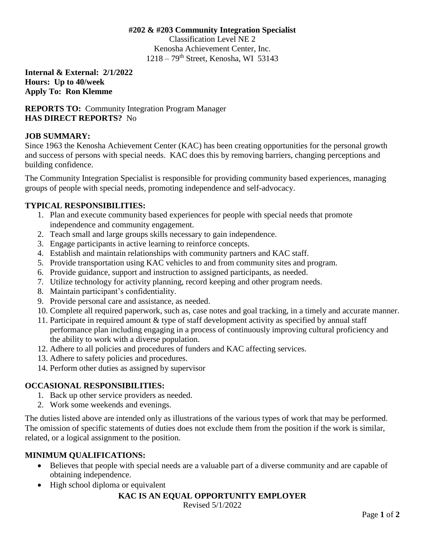#### **#202 & #203 Community Integration Specialist**

Classification Level NE 2 Kenosha Achievement Center, Inc.  $1218 - 79$ <sup>th</sup> Street, Kenosha, WI 53143

**Internal & External: 2/1/2022 Hours: Up to 40/week Apply To: Ron Klemme**

**REPORTS TO:** Community Integration Program Manager **HAS DIRECT REPORTS?** No

# **JOB SUMMARY:**

Since 1963 the Kenosha Achievement Center (KAC) has been creating opportunities for the personal growth and success of persons with special needs. KAC does this by removing barriers, changing perceptions and building confidence.

The Community Integration Specialist is responsible for providing community based experiences, managing groups of people with special needs, promoting independence and self-advocacy.

# **TYPICAL RESPONSIBILITIES:**

- 1. Plan and execute community based experiences for people with special needs that promote independence and community engagement.
- 2. Teach small and large groups skills necessary to gain independence.
- 3. Engage participants in active learning to reinforce concepts.
- 4. Establish and maintain relationships with community partners and KAC staff.
- 5. Provide transportation using KAC vehicles to and from community sites and program.
- 6. Provide guidance, support and instruction to assigned participants, as needed.
- 7. Utilize technology for activity planning, record keeping and other program needs.
- 8. Maintain participant's confidentiality.
- 9. Provide personal care and assistance, as needed.
- 10. Complete all required paperwork, such as, case notes and goal tracking, in a timely and accurate manner.
- 11. Participate in required amount & type of staff development activity as specified by annual staff performance plan including engaging in a process of continuously improving cultural proficiency and the ability to work with a diverse population.
- 12. Adhere to all policies and procedures of funders and KAC affecting services.
- 13. Adhere to safety policies and procedures.
- 14. Perform other duties as assigned by supervisor

# **OCCASIONAL RESPONSIBILITIES:**

- 1. Back up other service providers as needed.
- 2. Work some weekends and evenings.

The duties listed above are intended only as illustrations of the various types of work that may be performed. The omission of specific statements of duties does not exclude them from the position if the work is similar, related, or a logical assignment to the position.

#### **MINIMUM QUALIFICATIONS:**

- Believes that people with special needs are a valuable part of a diverse community and are capable of obtaining independence.
- High school diploma or equivalent

# **KAC IS AN EQUAL OPPORTUNITY EMPLOYER**

Revised 5/1/2022